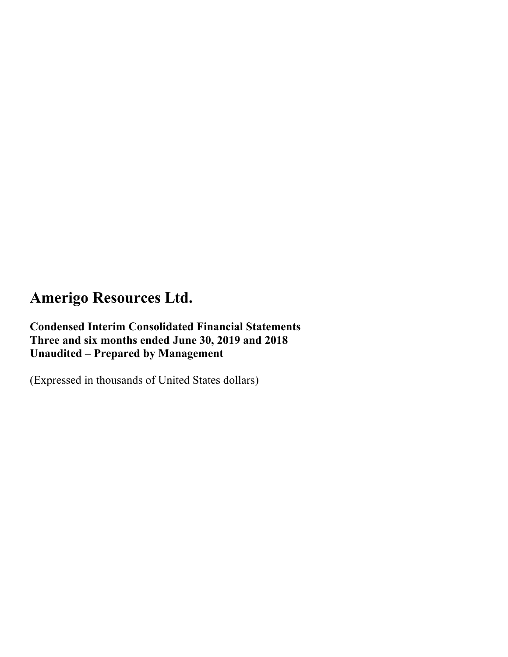**Condensed Interim Consolidated Financial Statements Three and six months ended June 30, 2019 and 2018 Unaudited – Prepared by Management** 

(Expressed in thousands of United States dollars)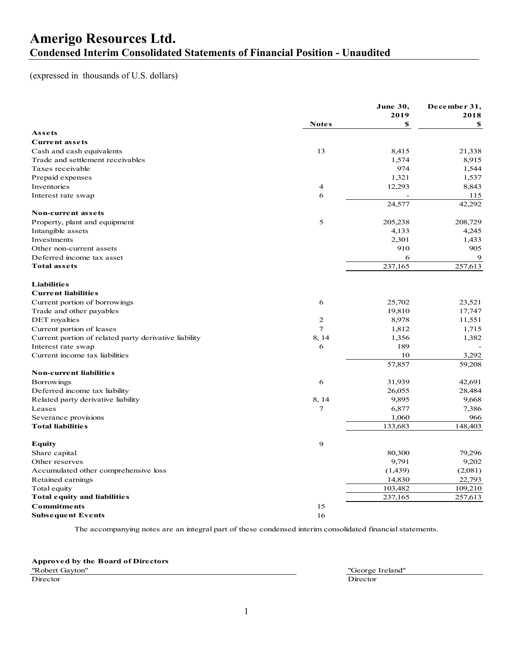### **Amerigo Resources Ltd. Condensed Interim Consolidated Statements of Financial Position - Unaudited**

#### (expressed in thousands of U.S. dollars)

| <b>Notes</b><br>\$<br>\$<br>Assets<br><b>Current assets</b><br>13<br>8,415<br>21,338<br>Cash and cash equivalents<br>Trade and settlement receivables<br>1,574<br>8,915<br>974<br>Taxes receivable<br>1,544<br>Prepaid expenses<br>1,321<br>1,537<br>Inventories<br>12,293<br>4<br>8,843<br>6<br>115<br>Interest rate swap<br>42,292<br>24,577<br>Non-current assets<br>5<br>205,238<br>208,729<br>Property, plant and equipment<br>Intangible assets<br>4,133<br>4,245<br>2,301<br>Investments<br>1,433<br>910<br>905<br>Other non-current assets<br>9<br>Deferred income tax asset<br>6<br>237,165<br>257,613<br><b>Total assets</b><br><b>Liabilities</b><br><b>Current liabilities</b><br>Current portion of borrowings<br>6<br>25,702<br>23,521<br>19,810<br>17,747<br>Trade and other payables<br>$\mathbf{2}$<br>8,978<br>DET royalties<br>11,551<br>7<br>1,812<br>Current portion of leases<br>1,715<br>8, 14<br>Current portion of related party derivative liability<br>1,356<br>1,382<br>6<br>189<br>Interest rate swap<br>Current income tax liabilities<br>10<br>3,292<br>57,857<br>59,208<br><b>Non-current liabilities</b><br>Borrowings<br>6<br>31,939<br>42,691<br>Deferred income tax liability<br>26,055<br>28,484<br>Related party derivative liability<br>8, 14<br>9,895<br>9,668<br>7<br>Leases<br>6,877<br>7,386<br>1,060<br>Severance provisions<br>966<br><b>Total liabilities</b><br>133,683<br>148,403<br>9<br><b>Equity</b><br>80,300<br>Share capital<br>79,296<br>9,791<br>9,202<br>Other reserves<br>Accumulated other comprehensive loss<br>(1,439)<br>(2,081)<br>14,830<br>22,793<br>Retained earnings<br>103,482<br>109,210<br>Total equity<br>237,165<br>257,613<br>Total equity and liabilities<br><b>Commitments</b><br>15<br>16<br><b>Subsequent Events</b> |  | <b>June 30,</b> | December 31, |
|---------------------------------------------------------------------------------------------------------------------------------------------------------------------------------------------------------------------------------------------------------------------------------------------------------------------------------------------------------------------------------------------------------------------------------------------------------------------------------------------------------------------------------------------------------------------------------------------------------------------------------------------------------------------------------------------------------------------------------------------------------------------------------------------------------------------------------------------------------------------------------------------------------------------------------------------------------------------------------------------------------------------------------------------------------------------------------------------------------------------------------------------------------------------------------------------------------------------------------------------------------------------------------------------------------------------------------------------------------------------------------------------------------------------------------------------------------------------------------------------------------------------------------------------------------------------------------------------------------------------------------------------------------------------------------------------------------------------------------------------------------------------------------------------------|--|-----------------|--------------|
|                                                                                                                                                                                                                                                                                                                                                                                                                                                                                                                                                                                                                                                                                                                                                                                                                                                                                                                                                                                                                                                                                                                                                                                                                                                                                                                                                                                                                                                                                                                                                                                                                                                                                                                                                                                                   |  | 2019            | 2018         |
|                                                                                                                                                                                                                                                                                                                                                                                                                                                                                                                                                                                                                                                                                                                                                                                                                                                                                                                                                                                                                                                                                                                                                                                                                                                                                                                                                                                                                                                                                                                                                                                                                                                                                                                                                                                                   |  |                 |              |
|                                                                                                                                                                                                                                                                                                                                                                                                                                                                                                                                                                                                                                                                                                                                                                                                                                                                                                                                                                                                                                                                                                                                                                                                                                                                                                                                                                                                                                                                                                                                                                                                                                                                                                                                                                                                   |  |                 |              |
|                                                                                                                                                                                                                                                                                                                                                                                                                                                                                                                                                                                                                                                                                                                                                                                                                                                                                                                                                                                                                                                                                                                                                                                                                                                                                                                                                                                                                                                                                                                                                                                                                                                                                                                                                                                                   |  |                 |              |
|                                                                                                                                                                                                                                                                                                                                                                                                                                                                                                                                                                                                                                                                                                                                                                                                                                                                                                                                                                                                                                                                                                                                                                                                                                                                                                                                                                                                                                                                                                                                                                                                                                                                                                                                                                                                   |  |                 |              |
|                                                                                                                                                                                                                                                                                                                                                                                                                                                                                                                                                                                                                                                                                                                                                                                                                                                                                                                                                                                                                                                                                                                                                                                                                                                                                                                                                                                                                                                                                                                                                                                                                                                                                                                                                                                                   |  |                 |              |
|                                                                                                                                                                                                                                                                                                                                                                                                                                                                                                                                                                                                                                                                                                                                                                                                                                                                                                                                                                                                                                                                                                                                                                                                                                                                                                                                                                                                                                                                                                                                                                                                                                                                                                                                                                                                   |  |                 |              |
|                                                                                                                                                                                                                                                                                                                                                                                                                                                                                                                                                                                                                                                                                                                                                                                                                                                                                                                                                                                                                                                                                                                                                                                                                                                                                                                                                                                                                                                                                                                                                                                                                                                                                                                                                                                                   |  |                 |              |
|                                                                                                                                                                                                                                                                                                                                                                                                                                                                                                                                                                                                                                                                                                                                                                                                                                                                                                                                                                                                                                                                                                                                                                                                                                                                                                                                                                                                                                                                                                                                                                                                                                                                                                                                                                                                   |  |                 |              |
|                                                                                                                                                                                                                                                                                                                                                                                                                                                                                                                                                                                                                                                                                                                                                                                                                                                                                                                                                                                                                                                                                                                                                                                                                                                                                                                                                                                                                                                                                                                                                                                                                                                                                                                                                                                                   |  |                 |              |
|                                                                                                                                                                                                                                                                                                                                                                                                                                                                                                                                                                                                                                                                                                                                                                                                                                                                                                                                                                                                                                                                                                                                                                                                                                                                                                                                                                                                                                                                                                                                                                                                                                                                                                                                                                                                   |  |                 |              |
|                                                                                                                                                                                                                                                                                                                                                                                                                                                                                                                                                                                                                                                                                                                                                                                                                                                                                                                                                                                                                                                                                                                                                                                                                                                                                                                                                                                                                                                                                                                                                                                                                                                                                                                                                                                                   |  |                 |              |
|                                                                                                                                                                                                                                                                                                                                                                                                                                                                                                                                                                                                                                                                                                                                                                                                                                                                                                                                                                                                                                                                                                                                                                                                                                                                                                                                                                                                                                                                                                                                                                                                                                                                                                                                                                                                   |  |                 |              |
|                                                                                                                                                                                                                                                                                                                                                                                                                                                                                                                                                                                                                                                                                                                                                                                                                                                                                                                                                                                                                                                                                                                                                                                                                                                                                                                                                                                                                                                                                                                                                                                                                                                                                                                                                                                                   |  |                 |              |
|                                                                                                                                                                                                                                                                                                                                                                                                                                                                                                                                                                                                                                                                                                                                                                                                                                                                                                                                                                                                                                                                                                                                                                                                                                                                                                                                                                                                                                                                                                                                                                                                                                                                                                                                                                                                   |  |                 |              |
|                                                                                                                                                                                                                                                                                                                                                                                                                                                                                                                                                                                                                                                                                                                                                                                                                                                                                                                                                                                                                                                                                                                                                                                                                                                                                                                                                                                                                                                                                                                                                                                                                                                                                                                                                                                                   |  |                 |              |
|                                                                                                                                                                                                                                                                                                                                                                                                                                                                                                                                                                                                                                                                                                                                                                                                                                                                                                                                                                                                                                                                                                                                                                                                                                                                                                                                                                                                                                                                                                                                                                                                                                                                                                                                                                                                   |  |                 |              |
|                                                                                                                                                                                                                                                                                                                                                                                                                                                                                                                                                                                                                                                                                                                                                                                                                                                                                                                                                                                                                                                                                                                                                                                                                                                                                                                                                                                                                                                                                                                                                                                                                                                                                                                                                                                                   |  |                 |              |
|                                                                                                                                                                                                                                                                                                                                                                                                                                                                                                                                                                                                                                                                                                                                                                                                                                                                                                                                                                                                                                                                                                                                                                                                                                                                                                                                                                                                                                                                                                                                                                                                                                                                                                                                                                                                   |  |                 |              |
|                                                                                                                                                                                                                                                                                                                                                                                                                                                                                                                                                                                                                                                                                                                                                                                                                                                                                                                                                                                                                                                                                                                                                                                                                                                                                                                                                                                                                                                                                                                                                                                                                                                                                                                                                                                                   |  |                 |              |
|                                                                                                                                                                                                                                                                                                                                                                                                                                                                                                                                                                                                                                                                                                                                                                                                                                                                                                                                                                                                                                                                                                                                                                                                                                                                                                                                                                                                                                                                                                                                                                                                                                                                                                                                                                                                   |  |                 |              |
|                                                                                                                                                                                                                                                                                                                                                                                                                                                                                                                                                                                                                                                                                                                                                                                                                                                                                                                                                                                                                                                                                                                                                                                                                                                                                                                                                                                                                                                                                                                                                                                                                                                                                                                                                                                                   |  |                 |              |
|                                                                                                                                                                                                                                                                                                                                                                                                                                                                                                                                                                                                                                                                                                                                                                                                                                                                                                                                                                                                                                                                                                                                                                                                                                                                                                                                                                                                                                                                                                                                                                                                                                                                                                                                                                                                   |  |                 |              |
|                                                                                                                                                                                                                                                                                                                                                                                                                                                                                                                                                                                                                                                                                                                                                                                                                                                                                                                                                                                                                                                                                                                                                                                                                                                                                                                                                                                                                                                                                                                                                                                                                                                                                                                                                                                                   |  |                 |              |
|                                                                                                                                                                                                                                                                                                                                                                                                                                                                                                                                                                                                                                                                                                                                                                                                                                                                                                                                                                                                                                                                                                                                                                                                                                                                                                                                                                                                                                                                                                                                                                                                                                                                                                                                                                                                   |  |                 |              |
|                                                                                                                                                                                                                                                                                                                                                                                                                                                                                                                                                                                                                                                                                                                                                                                                                                                                                                                                                                                                                                                                                                                                                                                                                                                                                                                                                                                                                                                                                                                                                                                                                                                                                                                                                                                                   |  |                 |              |
|                                                                                                                                                                                                                                                                                                                                                                                                                                                                                                                                                                                                                                                                                                                                                                                                                                                                                                                                                                                                                                                                                                                                                                                                                                                                                                                                                                                                                                                                                                                                                                                                                                                                                                                                                                                                   |  |                 |              |
|                                                                                                                                                                                                                                                                                                                                                                                                                                                                                                                                                                                                                                                                                                                                                                                                                                                                                                                                                                                                                                                                                                                                                                                                                                                                                                                                                                                                                                                                                                                                                                                                                                                                                                                                                                                                   |  |                 |              |
|                                                                                                                                                                                                                                                                                                                                                                                                                                                                                                                                                                                                                                                                                                                                                                                                                                                                                                                                                                                                                                                                                                                                                                                                                                                                                                                                                                                                                                                                                                                                                                                                                                                                                                                                                                                                   |  |                 |              |
|                                                                                                                                                                                                                                                                                                                                                                                                                                                                                                                                                                                                                                                                                                                                                                                                                                                                                                                                                                                                                                                                                                                                                                                                                                                                                                                                                                                                                                                                                                                                                                                                                                                                                                                                                                                                   |  |                 |              |
|                                                                                                                                                                                                                                                                                                                                                                                                                                                                                                                                                                                                                                                                                                                                                                                                                                                                                                                                                                                                                                                                                                                                                                                                                                                                                                                                                                                                                                                                                                                                                                                                                                                                                                                                                                                                   |  |                 |              |
|                                                                                                                                                                                                                                                                                                                                                                                                                                                                                                                                                                                                                                                                                                                                                                                                                                                                                                                                                                                                                                                                                                                                                                                                                                                                                                                                                                                                                                                                                                                                                                                                                                                                                                                                                                                                   |  |                 |              |
|                                                                                                                                                                                                                                                                                                                                                                                                                                                                                                                                                                                                                                                                                                                                                                                                                                                                                                                                                                                                                                                                                                                                                                                                                                                                                                                                                                                                                                                                                                                                                                                                                                                                                                                                                                                                   |  |                 |              |
|                                                                                                                                                                                                                                                                                                                                                                                                                                                                                                                                                                                                                                                                                                                                                                                                                                                                                                                                                                                                                                                                                                                                                                                                                                                                                                                                                                                                                                                                                                                                                                                                                                                                                                                                                                                                   |  |                 |              |
|                                                                                                                                                                                                                                                                                                                                                                                                                                                                                                                                                                                                                                                                                                                                                                                                                                                                                                                                                                                                                                                                                                                                                                                                                                                                                                                                                                                                                                                                                                                                                                                                                                                                                                                                                                                                   |  |                 |              |
|                                                                                                                                                                                                                                                                                                                                                                                                                                                                                                                                                                                                                                                                                                                                                                                                                                                                                                                                                                                                                                                                                                                                                                                                                                                                                                                                                                                                                                                                                                                                                                                                                                                                                                                                                                                                   |  |                 |              |
|                                                                                                                                                                                                                                                                                                                                                                                                                                                                                                                                                                                                                                                                                                                                                                                                                                                                                                                                                                                                                                                                                                                                                                                                                                                                                                                                                                                                                                                                                                                                                                                                                                                                                                                                                                                                   |  |                 |              |
|                                                                                                                                                                                                                                                                                                                                                                                                                                                                                                                                                                                                                                                                                                                                                                                                                                                                                                                                                                                                                                                                                                                                                                                                                                                                                                                                                                                                                                                                                                                                                                                                                                                                                                                                                                                                   |  |                 |              |
|                                                                                                                                                                                                                                                                                                                                                                                                                                                                                                                                                                                                                                                                                                                                                                                                                                                                                                                                                                                                                                                                                                                                                                                                                                                                                                                                                                                                                                                                                                                                                                                                                                                                                                                                                                                                   |  |                 |              |
|                                                                                                                                                                                                                                                                                                                                                                                                                                                                                                                                                                                                                                                                                                                                                                                                                                                                                                                                                                                                                                                                                                                                                                                                                                                                                                                                                                                                                                                                                                                                                                                                                                                                                                                                                                                                   |  |                 |              |
|                                                                                                                                                                                                                                                                                                                                                                                                                                                                                                                                                                                                                                                                                                                                                                                                                                                                                                                                                                                                                                                                                                                                                                                                                                                                                                                                                                                                                                                                                                                                                                                                                                                                                                                                                                                                   |  |                 |              |
|                                                                                                                                                                                                                                                                                                                                                                                                                                                                                                                                                                                                                                                                                                                                                                                                                                                                                                                                                                                                                                                                                                                                                                                                                                                                                                                                                                                                                                                                                                                                                                                                                                                                                                                                                                                                   |  |                 |              |
|                                                                                                                                                                                                                                                                                                                                                                                                                                                                                                                                                                                                                                                                                                                                                                                                                                                                                                                                                                                                                                                                                                                                                                                                                                                                                                                                                                                                                                                                                                                                                                                                                                                                                                                                                                                                   |  |                 |              |

The accompanying notes are an integral part of these condensed interim consolidated financial statements.

**Approved by the Board of Directors**

Director Director **Director** Director

"Robert Gayton" "George Ireland"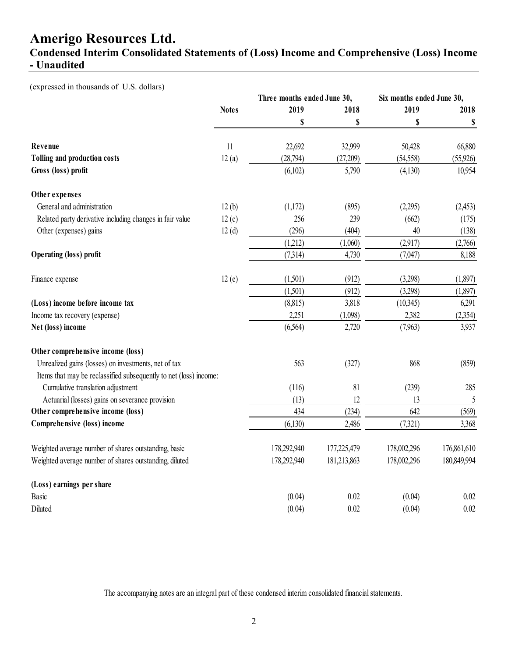**Condensed Interim Consolidated Statements of (Loss) Income and Comprehensive (Loss) Income - Unaudited** 

(expressed in thousands of U.S. dollars)

|                                                                   |              | Three months ended June 30, |             |             | Six months ended June 30, |
|-------------------------------------------------------------------|--------------|-----------------------------|-------------|-------------|---------------------------|
|                                                                   | <b>Notes</b> | 2019                        | 2018        | 2019        | 2018                      |
|                                                                   |              | \$                          | \$          | \$          | \$                        |
| Revenue                                                           | 11           | 22,692                      | 32,999      | 50,428      | 66,880                    |
| <b>Tolling and production costs</b>                               | 12(a)        | (28,794)                    | (27,209)    | (54, 558)   | (55, 926)                 |
| Gross (loss) profit                                               |              | (6,102)                     | 5,790       | (4,130)     | 10,954                    |
| Other expenses                                                    |              |                             |             |             |                           |
| General and administration                                        | 12(b)        | (1,172)                     | (895)       | (2,295)     | (2,453)                   |
| Related party derivative including changes in fair value          | 12(c)        | 256                         | 239         | (662)       | (175)                     |
| Other (expenses) gains                                            | 12(d)        | (296)                       | (404)       | 40          | (138)                     |
|                                                                   |              | (1,212)                     | (1,060)     | (2,917)     | (2,766)                   |
| Operating (loss) profit                                           |              | (7,314)                     | 4,730       | (7,047)     | 8,188                     |
| Finance expense                                                   | 12(e)        | (1,501)                     | (912)       | (3,298)     | (1,897)                   |
|                                                                   |              | (1,501)                     | (912)       | (3,298)     | (1,897)                   |
| (Loss) income before income tax                                   |              | (8,815)                     | 3,818       | (10,345)    | 6,291                     |
| Income tax recovery (expense)                                     |              | 2,251                       | (1,098)     | 2,382       | (2,354)                   |
| Net (loss) income                                                 |              | (6,564)                     | 2,720       | (7,963)     | 3,937                     |
| Other comprehensive income (loss)                                 |              |                             |             |             |                           |
| Unrealized gains (losses) on investments, net of tax              |              | 563                         | (327)       | 868         | (859)                     |
| Items that may be reclassified subsequently to net (loss) income: |              |                             |             |             |                           |
| Cumulative translation adjustment                                 |              | (116)                       | 81          | (239)       | 285                       |
| Actuarial (losses) gains on severance provision                   |              | (13)                        | 12          | 13          | 5                         |
| Other comprehensive income (loss)                                 |              | 434                         | (234)       | 642         | (569)                     |
| Comprehensive (loss) income                                       |              | (6,130)                     | 2,486       | (7,321)     | 3,368                     |
| Weighted average number of shares outstanding, basic              |              | 178,292,940                 | 177,225,479 | 178,002,296 | 176,861,610               |
| Weighted average number of shares outstanding, diluted            |              | 178,292,940                 | 181,213,863 | 178,002,296 | 180,849,994               |
| (Loss) earnings per share                                         |              |                             |             |             |                           |
| Basic                                                             |              | (0.04)                      | 0.02        | (0.04)      | 0.02                      |
| Diluted                                                           |              | (0.04)                      | 0.02        | (0.04)      | 0.02                      |

The accompanying notes are an integral part of these condensed interim consolidated financial statements.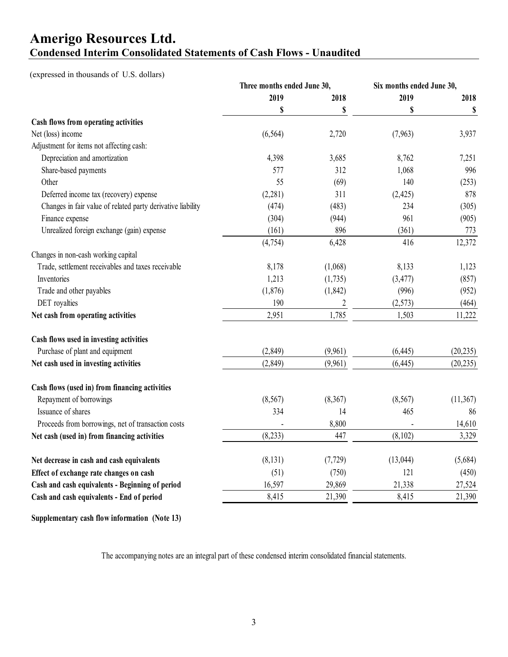### **Amerigo Resources Ltd. Condensed Interim Consolidated Statements of Cash Flows - Unaudited**

#### (expressed in thousands of U.S. dollars)

|                                                             | Three months ended June 30, |                | Six months ended June 30, |           |
|-------------------------------------------------------------|-----------------------------|----------------|---------------------------|-----------|
|                                                             | 2019                        | 2018           | 2019                      | 2018      |
|                                                             | \$                          | \$             | \$                        | \$        |
| Cash flows from operating activities                        |                             |                |                           |           |
| Net (loss) income                                           | (6, 564)                    | 2,720          | (7,963)                   | 3,937     |
| Adjustment for items not affecting cash:                    |                             |                |                           |           |
| Depreciation and amortization                               | 4,398                       | 3,685          | 8,762                     | 7,251     |
| Share-based payments                                        | 577                         | 312            | 1,068                     | 996       |
| Other                                                       | 55                          | (69)           | 140                       | (253)     |
| Deferred income tax (recovery) expense                      | (2,281)                     | 311            | (2,425)                   | 878       |
| Changes in fair value of related party derivative liability | (474)                       | (483)          | 234                       | (305)     |
| Finance expense                                             | (304)                       | (944)          | 961                       | (905)     |
| Unrealized foreign exchange (gain) expense                  | (161)                       | 896            | (361)                     | 773       |
|                                                             | (4, 754)                    | 6,428          | 416                       | 12,372    |
| Changes in non-cash working capital                         |                             |                |                           |           |
| Trade, settlement receivables and taxes receivable          | 8,178                       | (1,068)        | 8,133                     | 1,123     |
| Inventories                                                 | 1,213                       | (1,735)        | (3, 477)                  | (857)     |
| Trade and other payables                                    | (1, 876)                    | (1, 842)       | (996)                     | (952)     |
| DET royalties                                               | 190                         | $\overline{2}$ | (2,573)                   | (464)     |
| Net cash from operating activities                          | 2,951                       | 1,785          | 1,503                     | 11,222    |
| Cash flows used in investing activities                     |                             |                |                           |           |
| Purchase of plant and equipment                             | (2, 849)                    | (9,961)        | (6, 445)                  | (20, 235) |
| Net cash used in investing activities                       | (2, 849)                    | (9,961)        | (6, 445)                  | (20, 235) |
| Cash flows (used in) from financing activities              |                             |                |                           |           |
| Repayment of borrowings                                     | (8, 567)                    | (8,367)        | (8, 567)                  | (11, 367) |
| Issuance of shares                                          | 334                         | 14             | 465                       | 86        |
| Proceeds from borrowings, net of transaction costs          |                             | 8,800          |                           | 14,610    |
| Net cash (used in) from financing activities                | (8,233)                     | 447            | (8,102)                   | 3,329     |
| Net decrease in cash and cash equivalents                   | (8, 131)                    | (7, 729)       | (13, 044)                 | (5,684)   |
| Effect of exchange rate changes on cash                     | (51)                        | (750)          | 121                       | (450)     |
| Cash and cash equivalents - Beginning of period             | 16,597                      | 29,869         | 21,338                    | 27,524    |
| Cash and cash equivalents - End of period                   | 8,415                       | 21,390         | 8,415                     | 21,390    |

**Supplementary cash flow information (Note 13)**

The accompanying notes are an integral part of these condensed interim consolidated financial statements.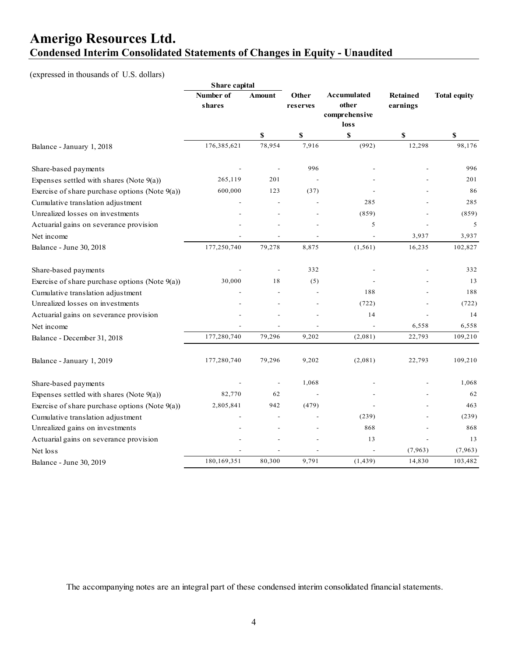### **Amerigo Resources Ltd. Condensed Interim Consolidated Statements of Changes in Equity - Unaudited**

#### (expressed in thousands of U.S. dollars)

|                                                   | Share capital       |                          |                   |                                               |                             |                     |
|---------------------------------------------------|---------------------|--------------------------|-------------------|-----------------------------------------------|-----------------------------|---------------------|
|                                                   | Number of<br>shares | Amount                   | Other<br>reserves | Accumulated<br>other<br>comprehensive<br>loss | <b>Retained</b><br>earnings | <b>Total equity</b> |
|                                                   |                     | \$                       | \$                | \$                                            | \$                          | \$                  |
| Balance - January 1, 2018                         | 176,385,621         | 78,954                   | 7,916             | (992)                                         | 12,298                      | 98,176              |
| Share-based payments                              |                     |                          | 996               |                                               |                             | 996                 |
| Expenses settled with shares (Note $9(a)$ )       | 265,119             | 201                      |                   |                                               |                             | 201                 |
| Exercise of share purchase options (Note $9(a)$ ) | 600,000             | 123                      | (37)              |                                               |                             | 86                  |
| Cumulative translation adjustment                 |                     |                          |                   | 285                                           |                             | 285                 |
| Unrealized losses on investments                  |                     |                          |                   | (859)                                         |                             | (859)               |
| Actuarial gains on severance provision            |                     |                          |                   | 5                                             |                             | 5                   |
| Net income                                        |                     |                          |                   |                                               | 3,937                       | 3,937               |
| Balance - June 30, 2018                           | 177,250,740         | 79,278                   | 8,875             | (1, 561)                                      | 16,235                      | 102,827             |
| Share-based payments                              |                     |                          | 332               |                                               |                             | 332                 |
| Exercise of share purchase options (Note 9(a))    | 30,000              | 18                       | (5)               |                                               |                             | 13                  |
| Cumulative translation adjustment                 |                     |                          |                   | 188                                           |                             | 188                 |
| Unrealized losses on investments                  |                     |                          |                   | (722)                                         |                             | (722)               |
| Actuarial gains on severance provision            |                     |                          |                   | 14                                            |                             | 14                  |
| Net income                                        |                     |                          |                   |                                               | 6,558                       | 6,558               |
| Balance - December 31, 2018                       | 177,280,740         | 79,296                   | 9,202             | (2,081)                                       | 22,793                      | 109,210             |
| Balance - January 1, 2019                         | 177,280,740         | 79,296                   | 9,202             | (2,081)                                       | 22,793                      | 109,210             |
| Share-based payments                              |                     | $\overline{\phantom{a}}$ | 1,068             |                                               |                             | 1,068               |
| Expenses settled with shares (Note $9(a)$ )       | 82,770              | 62                       |                   |                                               |                             | 62                  |
| Exercise of share purchase options (Note 9(a))    | 2,805,841           | 942                      | (479)             |                                               |                             | 463                 |
| Cumulative translation adjustment                 |                     |                          |                   | (239)                                         |                             | (239)               |
| Unrealized gains on investments                   |                     |                          |                   | 868                                           |                             | 868                 |
| Actuarial gains on severance provision            |                     |                          |                   | 13                                            |                             | 13                  |
| Net loss                                          |                     |                          |                   |                                               | (7, 963)                    | (7,963)             |
| Balance - June 30, 2019                           | 180,169,351         | 80,300                   | 9,791             | (1, 439)                                      | 14,830                      | 103,482             |

The accompanying notes are an integral part of these condensed interim consolidated financial statements.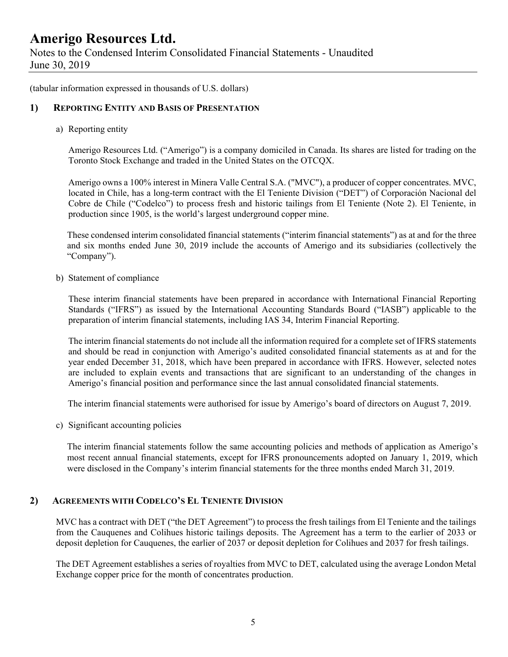Notes to the Condensed Interim Consolidated Financial Statements - Unaudited June 30, 2019

(tabular information expressed in thousands of U.S. dollars)

#### **1) REPORTING ENTITY AND BASIS OF PRESENTATION**

a) Reporting entity

Amerigo Resources Ltd. ("Amerigo") is a company domiciled in Canada. Its shares are listed for trading on the Toronto Stock Exchange and traded in the United States on the OTCQX.

Amerigo owns a 100% interest in Minera Valle Central S.A. ("MVC"), a producer of copper concentrates. MVC, located in Chile, has a long-term contract with the El Teniente Division ("DET") of Corporación Nacional del Cobre de Chile ("Codelco") to process fresh and historic tailings from El Teniente (Note 2). El Teniente, in production since 1905, is the world's largest underground copper mine.

These condensed interim consolidated financial statements ("interim financial statements") as at and for the three and six months ended June 30, 2019 include the accounts of Amerigo and its subsidiaries (collectively the "Company").

b) Statement of compliance

These interim financial statements have been prepared in accordance with International Financial Reporting Standards ("IFRS") as issued by the International Accounting Standards Board ("IASB") applicable to the preparation of interim financial statements, including IAS 34, Interim Financial Reporting.

The interim financial statements do not include all the information required for a complete set of IFRS statements and should be read in conjunction with Amerigo's audited consolidated financial statements as at and for the year ended December 31, 2018, which have been prepared in accordance with IFRS. However, selected notes are included to explain events and transactions that are significant to an understanding of the changes in Amerigo's financial position and performance since the last annual consolidated financial statements.

The interim financial statements were authorised for issue by Amerigo's board of directors on August 7, 2019.

c) Significant accounting policies

The interim financial statements follow the same accounting policies and methods of application as Amerigo's most recent annual financial statements, except for IFRS pronouncements adopted on January 1, 2019, which were disclosed in the Company's interim financial statements for the three months ended March 31, 2019.

#### **2) AGREEMENTS WITH CODELCO'S EL TENIENTE DIVISION**

MVC has a contract with DET ("the DET Agreement") to process the fresh tailings from El Teniente and the tailings from the Cauquenes and Colihues historic tailings deposits. The Agreement has a term to the earlier of 2033 or deposit depletion for Cauquenes, the earlier of 2037 or deposit depletion for Colihues and 2037 for fresh tailings.

The DET Agreement establishes a series of royalties from MVC to DET, calculated using the average London Metal Exchange copper price for the month of concentrates production.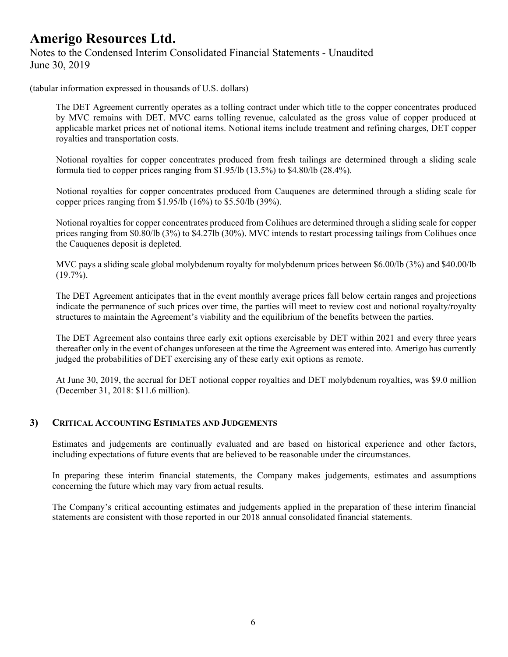### **Amerigo Resources Ltd.**  Notes to the Condensed Interim Consolidated Financial Statements - Unaudited June 30, 2019

(tabular information expressed in thousands of U.S. dollars)

The DET Agreement currently operates as a tolling contract under which title to the copper concentrates produced by MVC remains with DET. MVC earns tolling revenue, calculated as the gross value of copper produced at applicable market prices net of notional items. Notional items include treatment and refining charges, DET copper royalties and transportation costs.

Notional royalties for copper concentrates produced from fresh tailings are determined through a sliding scale formula tied to copper prices ranging from \$1.95/lb (13.5%) to \$4.80/lb (28.4%).

Notional royalties for copper concentrates produced from Cauquenes are determined through a sliding scale for copper prices ranging from \$1.95/lb (16%) to \$5.50/lb (39%).

Notional royalties for copper concentrates produced from Colihues are determined through a sliding scale for copper prices ranging from \$0.80/lb (3%) to \$4.27lb (30%). MVC intends to restart processing tailings from Colihues once the Cauquenes deposit is depleted.

MVC pays a sliding scale global molybdenum royalty for molybdenum prices between \$6.00/lb (3%) and \$40.00/lb  $(19.7\%)$ .

The DET Agreement anticipates that in the event monthly average prices fall below certain ranges and projections indicate the permanence of such prices over time, the parties will meet to review cost and notional royalty/royalty structures to maintain the Agreement's viability and the equilibrium of the benefits between the parties.

The DET Agreement also contains three early exit options exercisable by DET within 2021 and every three years thereafter only in the event of changes unforeseen at the time the Agreement was entered into. Amerigo has currently judged the probabilities of DET exercising any of these early exit options as remote.

At June 30, 2019, the accrual for DET notional copper royalties and DET molybdenum royalties, was \$9.0 million (December 31, 2018: \$11.6 million).

#### **3) CRITICAL ACCOUNTING ESTIMATES AND JUDGEMENTS**

Estimates and judgements are continually evaluated and are based on historical experience and other factors, including expectations of future events that are believed to be reasonable under the circumstances.

In preparing these interim financial statements, the Company makes judgements, estimates and assumptions concerning the future which may vary from actual results.

The Company's critical accounting estimates and judgements applied in the preparation of these interim financial statements are consistent with those reported in our 2018 annual consolidated financial statements.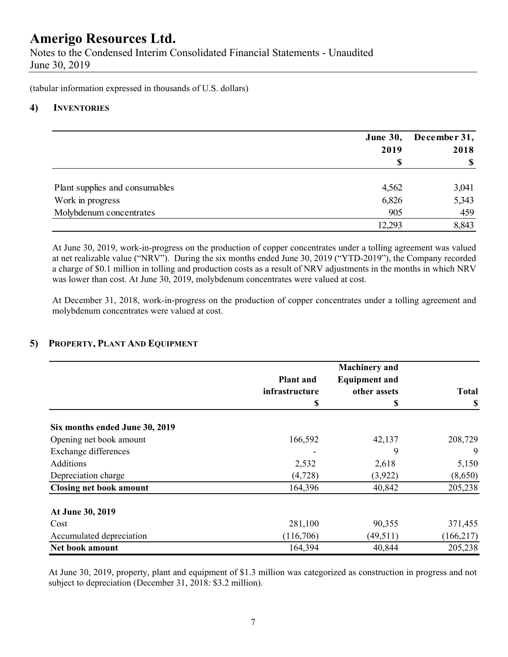Notes to the Condensed Interim Consolidated Financial Statements - Unaudited June 30, 2019

(tabular information expressed in thousands of U.S. dollars)

#### **4) INVENTORIES**

|                                | <b>June 30,</b> | December 31,<br>2018 |  |
|--------------------------------|-----------------|----------------------|--|
|                                | 2019            |                      |  |
|                                |                 | \$                   |  |
| Plant supplies and consumables | 4,562           | 3,041                |  |
| Work in progress               | 6,826           | 5,343                |  |
| Molybdenum concentrates        | 905             | 459                  |  |
|                                | 12,293          | 8,843                |  |

At June 30, 2019, work-in-progress on the production of copper concentrates under a tolling agreement was valued at net realizable value ("NRV"). During the six months ended June 30, 2019 ("YTD-2019"), the Company recorded a charge of \$0.1 million in tolling and production costs as a result of NRV adjustments in the months in which NRV was lower than cost. At June 30, 2019, molybdenum concentrates were valued at cost.

At December 31, 2018, work-in-progress on the production of copper concentrates under a tolling agreement and molybdenum concentrates were valued at cost.

#### **5) PROPERTY, PLANT AND EQUIPMENT**

|                                | <b>Plant</b> and<br>infrastructure<br>\$ | <b>Machinery</b> and<br><b>Equipment and</b><br>other assets<br>S | <b>Total</b><br>\$ |
|--------------------------------|------------------------------------------|-------------------------------------------------------------------|--------------------|
|                                |                                          |                                                                   |                    |
| Six months ended June 30, 2019 |                                          |                                                                   |                    |
| Opening net book amount        | 166,592                                  | 42,137                                                            | 208,729            |
| Exchange differences           |                                          | 9                                                                 | 9                  |
| Additions                      | 2,532                                    | 2,618                                                             | 5,150              |
| Depreciation charge            | (4, 728)                                 | (3,922)                                                           | (8,650)            |
| <b>Closing net book amount</b> | 164,396                                  | 40,842                                                            | 205,238            |
| At June 30, 2019               |                                          |                                                                   |                    |
| Cost                           | 281,100                                  | 90,355                                                            | 371,455            |
| Accumulated depreciation       | (116,706)                                | (49, 511)                                                         | (166, 217)         |
| Net book amount                | 164,394                                  | 40,844                                                            | 205,238            |

 At June 30, 2019, property, plant and equipment of \$1.3 million was categorized as construction in progress and not subject to depreciation (December 31, 2018: \$3.2 million).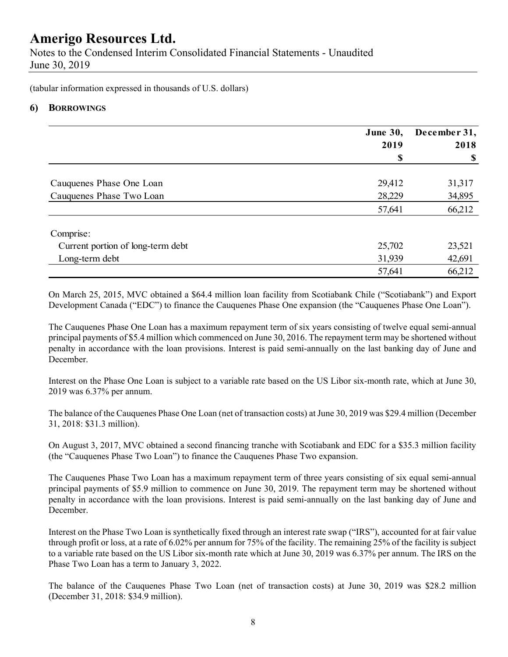Notes to the Condensed Interim Consolidated Financial Statements - Unaudited June 30, 2019

(tabular information expressed in thousands of U.S. dollars)

#### **6) BORROWINGS**

|                                   | <b>June 30,</b><br>2019 | December 31,<br>2018 |
|-----------------------------------|-------------------------|----------------------|
|                                   | \$                      | \$                   |
| Cauquenes Phase One Loan          | 29,412                  | 31,317               |
| Cauquenes Phase Two Loan          | 28,229                  | 34,895               |
|                                   | 57,641                  | 66,212               |
| Comprise:                         |                         |                      |
| Current portion of long-term debt | 25,702                  | 23,521               |
| Long-term debt                    | 31,939                  | 42,691               |
|                                   | 57,641                  | 66,212               |

On March 25, 2015, MVC obtained a \$64.4 million loan facility from Scotiabank Chile ("Scotiabank") and Export Development Canada ("EDC") to finance the Cauquenes Phase One expansion (the "Cauquenes Phase One Loan").

The Cauquenes Phase One Loan has a maximum repayment term of six years consisting of twelve equal semi-annual principal payments of \$5.4 million which commenced on June 30, 2016. The repayment term may be shortened without penalty in accordance with the loan provisions. Interest is paid semi-annually on the last banking day of June and December.

Interest on the Phase One Loan is subject to a variable rate based on the US Libor six-month rate, which at June 30, 2019 was 6.37% per annum.

The balance of the Cauquenes Phase One Loan (net of transaction costs) at June 30, 2019 was \$29.4 million (December 31, 2018: \$31.3 million).

On August 3, 2017, MVC obtained a second financing tranche with Scotiabank and EDC for a \$35.3 million facility (the "Cauquenes Phase Two Loan") to finance the Cauquenes Phase Two expansion.

The Cauquenes Phase Two Loan has a maximum repayment term of three years consisting of six equal semi-annual principal payments of \$5.9 million to commence on June 30, 2019. The repayment term may be shortened without penalty in accordance with the loan provisions. Interest is paid semi-annually on the last banking day of June and December.

Interest on the Phase Two Loan is synthetically fixed through an interest rate swap ("IRS"), accounted for at fair value through profit or loss, at a rate of 6.02% per annum for 75% of the facility. The remaining 25% of the facility is subject to a variable rate based on the US Libor six-month rate which at June 30, 2019 was 6.37% per annum. The IRS on the Phase Two Loan has a term to January 3, 2022.

The balance of the Cauquenes Phase Two Loan (net of transaction costs) at June 30, 2019 was \$28.2 million (December 31, 2018: \$34.9 million).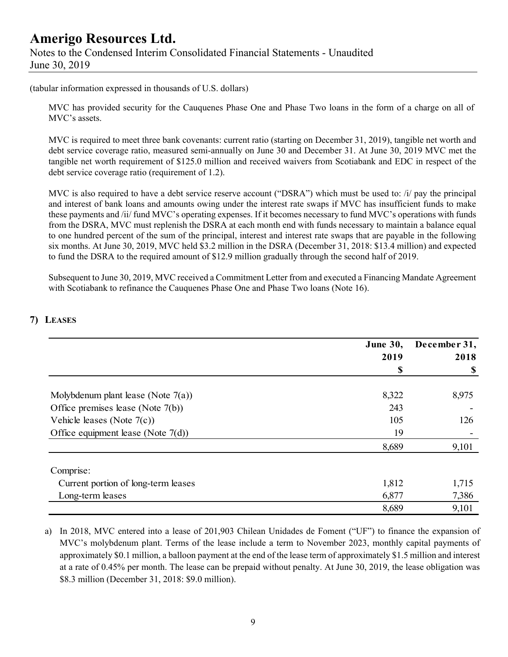### **Amerigo Resources Ltd.**  Notes to the Condensed Interim Consolidated Financial Statements - Unaudited June 30, 2019

(tabular information expressed in thousands of U.S. dollars)

MVC has provided security for the Cauquenes Phase One and Phase Two loans in the form of a charge on all of MVC's assets.

MVC is required to meet three bank covenants: current ratio (starting on December 31, 2019), tangible net worth and debt service coverage ratio, measured semi-annually on June 30 and December 31. At June 30, 2019 MVC met the tangible net worth requirement of \$125.0 million and received waivers from Scotiabank and EDC in respect of the debt service coverage ratio (requirement of 1.2).

MVC is also required to have a debt service reserve account ("DSRA") which must be used to: /i/ pay the principal and interest of bank loans and amounts owing under the interest rate swaps if MVC has insufficient funds to make these payments and /ii/ fund MVC's operating expenses. If it becomes necessary to fund MVC's operations with funds from the DSRA, MVC must replenish the DSRA at each month end with funds necessary to maintain a balance equal to one hundred percent of the sum of the principal, interest and interest rate swaps that are payable in the following six months. At June 30, 2019, MVC held \$3.2 million in the DSRA (December 31, 2018: \$13.4 million) and expected to fund the DSRA to the required amount of \$12.9 million gradually through the second half of 2019.

Subsequent to June 30, 2019, MVC received a Commitment Letter from and executed a Financing Mandate Agreement with Scotiabank to refinance the Cauquenes Phase One and Phase Two loans (Note 16).

|                                       | <b>June 30,</b> | December 31,              |  |
|---------------------------------------|-----------------|---------------------------|--|
|                                       | 2019            | 2018                      |  |
|                                       | \$              | $\boldsymbol{\mathsf{S}}$ |  |
| Molybdenum plant lease (Note $7(a)$ ) | 8,322           | 8,975                     |  |
| Office premises lease (Note 7(b))     | 243             |                           |  |
| Vehicle leases (Note $7(c)$ )         | 105             | 126                       |  |
| Office equipment lease (Note $7(d)$ ) | 19              |                           |  |
|                                       | 8,689           | 9,101                     |  |
| Comprise:                             |                 |                           |  |
| Current portion of long-term leases   | 1,812           | 1,715                     |  |
| Long-term leases                      | 6,877           | 7,386                     |  |
|                                       | 8,689           | 9,101                     |  |

#### **7) LEASES**

a) In 2018, MVC entered into a lease of 201,903 Chilean Unidades de Foment ("UF") to finance the expansion of MVC's molybdenum plant. Terms of the lease include a term to November 2023, monthly capital payments of approximately \$0.1 million, a balloon payment at the end of the lease term of approximately \$1.5 million and interest at a rate of 0.45% per month. The lease can be prepaid without penalty. At June 30, 2019, the lease obligation was \$8.3 million (December 31, 2018: \$9.0 million).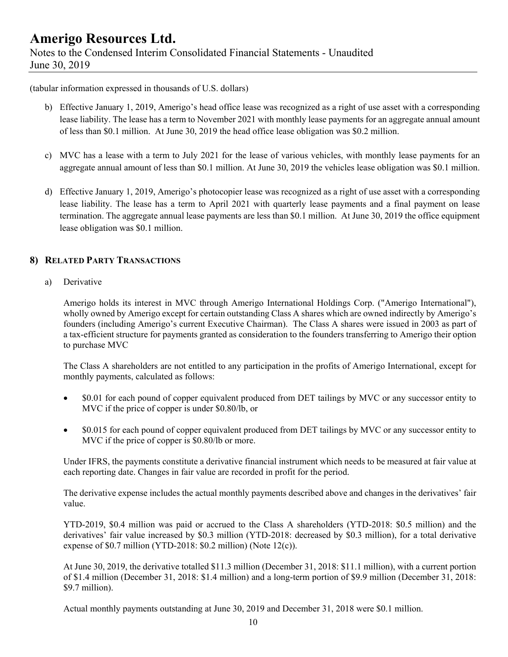### **Amerigo Resources Ltd.**  Notes to the Condensed Interim Consolidated Financial Statements - Unaudited June 30, 2019

(tabular information expressed in thousands of U.S. dollars)

- b) Effective January 1, 2019, Amerigo's head office lease was recognized as a right of use asset with a corresponding lease liability. The lease has a term to November 2021 with monthly lease payments for an aggregate annual amount of less than \$0.1 million. At June 30, 2019 the head office lease obligation was \$0.2 million.
- c) MVC has a lease with a term to July 2021 for the lease of various vehicles, with monthly lease payments for an aggregate annual amount of less than \$0.1 million. At June 30, 2019 the vehicles lease obligation was \$0.1 million.
- d) Effective January 1, 2019, Amerigo's photocopier lease was recognized as a right of use asset with a corresponding lease liability. The lease has a term to April 2021 with quarterly lease payments and a final payment on lease termination. The aggregate annual lease payments are less than \$0.1 million. At June 30, 2019 the office equipment lease obligation was \$0.1 million.

#### **8) RELATED PARTY TRANSACTIONS**

a) Derivative

Amerigo holds its interest in MVC through Amerigo International Holdings Corp. ("Amerigo International"), wholly owned by Amerigo except for certain outstanding Class A shares which are owned indirectly by Amerigo's founders (including Amerigo's current Executive Chairman). The Class A shares were issued in 2003 as part of a tax-efficient structure for payments granted as consideration to the founders transferring to Amerigo their option to purchase MVC

The Class A shareholders are not entitled to any participation in the profits of Amerigo International, except for monthly payments, calculated as follows:

- \$0.01 for each pound of copper equivalent produced from DET tailings by MVC or any successor entity to MVC if the price of copper is under \$0.80/lb, or
- \$0.015 for each pound of copper equivalent produced from DET tailings by MVC or any successor entity to MVC if the price of copper is \$0.80/lb or more.

Under IFRS, the payments constitute a derivative financial instrument which needs to be measured at fair value at each reporting date. Changes in fair value are recorded in profit for the period.

The derivative expense includes the actual monthly payments described above and changes in the derivatives' fair value.

YTD-2019, \$0.4 million was paid or accrued to the Class A shareholders (YTD-2018: \$0.5 million) and the derivatives' fair value increased by \$0.3 million (YTD-2018: decreased by \$0.3 million), for a total derivative expense of \$0.7 million (YTD-2018: \$0.2 million) (Note 12(c)).

At June 30, 2019, the derivative totalled \$11.3 million (December 31, 2018: \$11.1 million), with a current portion of \$1.4 million (December 31, 2018: \$1.4 million) and a long-term portion of \$9.9 million (December 31, 2018: \$9.7 million).

Actual monthly payments outstanding at June 30, 2019 and December 31, 2018 were \$0.1 million.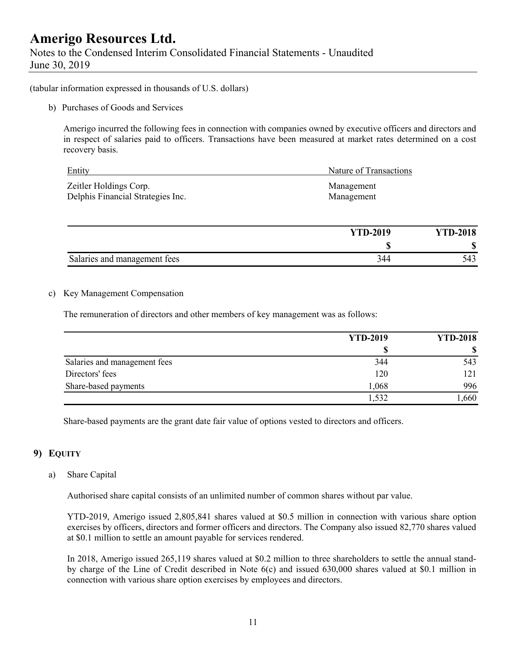Notes to the Condensed Interim Consolidated Financial Statements - Unaudited June 30, 2019

(tabular information expressed in thousands of U.S. dollars)

b) Purchases of Goods and Services

Amerigo incurred the following fees in connection with companies owned by executive officers and directors and in respect of salaries paid to officers. Transactions have been measured at market rates determined on a cost recovery basis.

| Entity                            | Nature of Transactions |
|-----------------------------------|------------------------|
| Zeitler Holdings Corp.            | Management             |
| Delphis Financial Strategies Inc. | Management             |

|                              | <b>YTD-2019</b> | <b>YTD-2018</b> |
|------------------------------|-----------------|-----------------|
|                              | w               | ۱D              |
| Salaries and management fees | 44ء             |                 |

#### c) Key Management Compensation

The remuneration of directors and other members of key management was as follows:

|                              | <b>YTD-2019</b> | <b>YTD-2018</b> |  |
|------------------------------|-----------------|-----------------|--|
|                              |                 |                 |  |
| Salaries and management fees | 344             | 543             |  |
| Directors' fees              | 120             | 121             |  |
| Share-based payments         | 1,068           | 996             |  |
|                              | .532            | ,660            |  |

Share-based payments are the grant date fair value of options vested to directors and officers.

#### **9) EQUITY**

#### a) Share Capital

Authorised share capital consists of an unlimited number of common shares without par value.

YTD-2019, Amerigo issued 2,805,841 shares valued at \$0.5 million in connection with various share option exercises by officers, directors and former officers and directors. The Company also issued 82,770 shares valued at \$0.1 million to settle an amount payable for services rendered.

In 2018, Amerigo issued 265,119 shares valued at \$0.2 million to three shareholders to settle the annual standby charge of the Line of Credit described in Note 6(c) and issued 630,000 shares valued at \$0.1 million in connection with various share option exercises by employees and directors.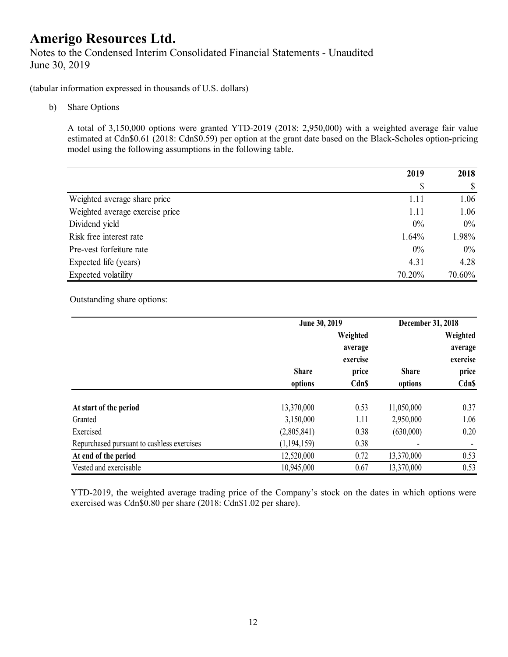Notes to the Condensed Interim Consolidated Financial Statements - Unaudited June 30, 2019

(tabular information expressed in thousands of U.S. dollars)

b) Share Options

A total of 3,150,000 options were granted YTD-2019 (2018: 2,950,000) with a weighted average fair value estimated at Cdn\$0.61 (2018: Cdn\$0.59) per option at the grant date based on the Black-Scholes option-pricing model using the following assumptions in the following table.

|                                 | 2019   | 2018   |
|---------------------------------|--------|--------|
|                                 | \$     |        |
| Weighted average share price    | 1.11   | 1.06   |
| Weighted average exercise price | 1.11   | 1.06   |
| Dividend yield                  | $0\%$  | $0\%$  |
| Risk free interest rate         | 1.64%  | 1.98%  |
| Pre-vest forfeiture rate        | 0%     | $0\%$  |
| Expected life (years)           | 4.31   | 4.28   |
| Expected volatility             | 70.20% | 70.60% |

Outstanding share options:

|                                            | June 30, 2019 |             | December 31, 2018 |              |
|--------------------------------------------|---------------|-------------|-------------------|--------------|
|                                            |               | Weighted    |                   | Weighted     |
|                                            |               | average     |                   | average      |
|                                            |               | exercise    |                   | exercise     |
|                                            | <b>Share</b>  | price       | <b>Share</b>      | price        |
|                                            | options       | <b>CdnS</b> | options           | <b>Cdn\$</b> |
| At start of the period                     | 13,370,000    | 0.53        | 11,050,000        | 0.37         |
| Granted                                    | 3,150,000     | 1.11        | 2,950,000         | 1.06         |
| Exercised                                  | (2,805,841)   | 0.38        | (630,000)         | 0.20         |
| Repurchased pursuant to cashless exercises | (1, 194, 159) | 0.38        |                   |              |
| At end of the period                       | 12,520,000    | 0.72        | 13,370,000        | 0.53         |
| Vested and exercisable                     | 10,945,000    | 0.67        | 13,370,000        | 0.53         |

 YTD-2019, the weighted average trading price of the Company's stock on the dates in which options were exercised was Cdn\$0.80 per share (2018: Cdn\$1.02 per share).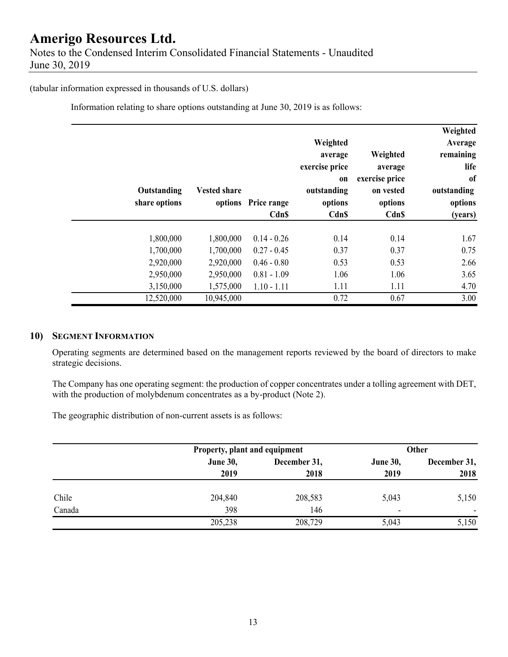#### (tabular information expressed in thousands of U.S. dollars)

Information relating to share options outstanding at June 30, 2019 is as follows:

| Outstanding<br>share options | <b>Vested share</b> | options Price range | Weighted<br>average<br>exercise price<br>on<br>outstanding<br>options | Weighted<br>average<br>exercise price<br>on vested<br>options | Weighted<br>Average<br>remaining<br>life<br>of<br>outstanding<br>options |
|------------------------------|---------------------|---------------------|-----------------------------------------------------------------------|---------------------------------------------------------------|--------------------------------------------------------------------------|
|                              |                     | <b>Cdn\$</b>        | Cdn\$                                                                 | <b>Cdn\$</b>                                                  | (years)                                                                  |
| 1,800,000                    | 1,800,000           | $0.14 - 0.26$       | 0.14                                                                  | 0.14                                                          | 1.67                                                                     |
| 1,700,000                    | 1,700,000           | $0.27 - 0.45$       | 0.37                                                                  | 0.37                                                          | 0.75                                                                     |
| 2,920,000                    | 2,920,000           | $0.46 - 0.80$       | 0.53                                                                  | 0.53                                                          | 2.66                                                                     |
| 2,950,000                    | 2,950,000           | $0.81 - 1.09$       | 1.06                                                                  | 1.06                                                          | 3.65                                                                     |
| 3,150,000                    | 1,575,000           | $1.10 - 1.11$       | 1.11                                                                  | 1.11                                                          | 4.70                                                                     |
| 12,520,000                   | 10,945,000          |                     | 0.72                                                                  | 0.67                                                          | 3.00                                                                     |

#### **10) SEGMENT INFORMATION**

Operating segments are determined based on the management reports reviewed by the board of directors to make strategic decisions.

The Company has one operating segment: the production of copper concentrates under a tolling agreement with DET, with the production of molybdenum concentrates as a by-product (Note 2).

The geographic distribution of non-current assets is as follows:

|        |                 | Property, plant and equipment |                 | Other        |
|--------|-----------------|-------------------------------|-----------------|--------------|
|        | <b>June 30,</b> | December 31,                  | <b>June 30,</b> | December 31, |
|        | 2019            | 2018                          | 2019            | 2018         |
| Chile  | 204,840         | 208,583                       | 5,043           | 5,150        |
| Canada | 398             | 146                           | ٠               |              |
|        | 205,238         | 208,729                       | 5,043           | 5,150        |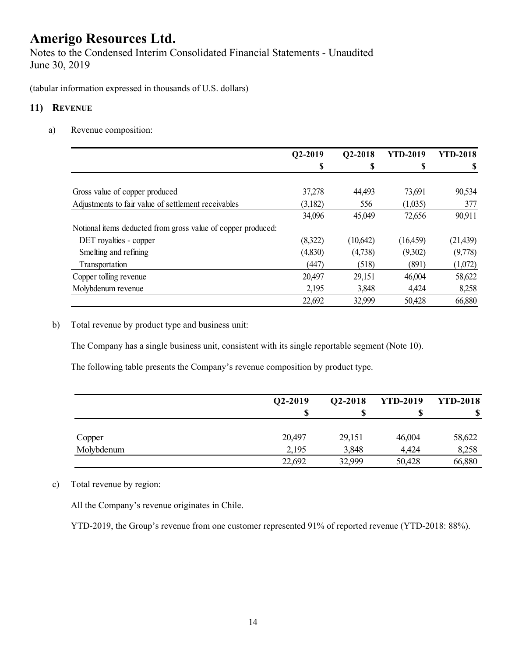Notes to the Condensed Interim Consolidated Financial Statements - Unaudited June 30, 2019

(tabular information expressed in thousands of U.S. dollars)

#### **11) REVENUE**

a) Revenue composition:

|                                                              | Q2-2019 | Q2-2018  | <b>YTD-2019</b> | <b>YTD-2018</b> |
|--------------------------------------------------------------|---------|----------|-----------------|-----------------|
|                                                              | \$      | \$       | S               | S               |
| Gross value of copper produced                               | 37,278  | 44,493   | 73,691          | 90,534          |
| Adjustments to fair value of settlement receivables          | (3,182) | 556      | (1,035)         | 377             |
|                                                              | 34,096  | 45,049   | 72,656          | 90,911          |
| Notional items deducted from gross value of copper produced: |         |          |                 |                 |
| DET royalties - copper                                       | (8,322) | (10,642) | (16, 459)       | (21, 439)       |
| Smelting and refining                                        | (4,830) | (4,738)  | (9,302)         | (9,778)         |
| Transportation                                               | (447)   | (518)    | (891)           | (1,072)         |
| Copper tolling revenue                                       | 20,497  | 29,151   | 46,004          | 58,622          |
| Molybdenum revenue                                           | 2,195   | 3,848    | 4,424           | 8,258           |
|                                                              | 22,692  | 32,999   | 50,428          | 66,880          |

b) Total revenue by product type and business unit:

The Company has a single business unit, consistent with its single reportable segment (Note 10).

The following table presents the Company's revenue composition by product type.

|            | $Q2 - 2019$ | Q2-2018 | <b>YTD-2019</b> | <b>YTD-2018</b> |
|------------|-------------|---------|-----------------|-----------------|
|            | S           |         |                 | S               |
| Copper     | 20,497      | 29,151  | 46,004          | 58,622          |
| Molybdenum | 2,195       | 3,848   | 4,424           | 8,258           |
|            | 22,692      | 32,999  | 50,428          | 66,880          |

#### c) Total revenue by region:

All the Company's revenue originates in Chile.

YTD-2019, the Group's revenue from one customer represented 91% of reported revenue (YTD-2018: 88%).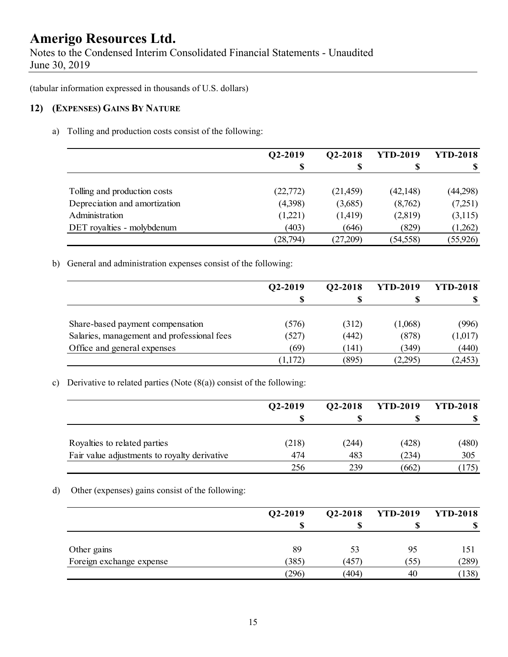Notes to the Condensed Interim Consolidated Financial Statements - Unaudited June 30, 2019

(tabular information expressed in thousands of U.S. dollars)

#### **12) (EXPENSES) GAINS BY NATURE**

a) Tolling and production costs consist of the following:

|                               | Q2-2019   | Q2-2018   | <b>YTD-2019</b> | <b>YTD-2018</b> |
|-------------------------------|-----------|-----------|-----------------|-----------------|
|                               | S         |           | S               | -SS             |
|                               |           |           |                 |                 |
| Tolling and production costs  | (22, 772) | (21, 459) | (42, 148)       | (44,298)        |
| Depreciation and amortization | (4,398)   | (3,685)   | (8,762)         | (7,251)         |
| Administration                | (1,221)   | (1,419)   | (2,819)         | (3,115)         |
| DET royalties - molybdenum    | (403)     | (646)     | (829)           | (1,262)         |
|                               | (28, 794) | (27,209)  | (54, 558)       | (55, 926)       |

b) General and administration expenses consist of the following:

|                                            | Q2-2019 | Q2-2018 | <b>YTD-2019</b> | <b>YTD-2018</b> |
|--------------------------------------------|---------|---------|-----------------|-----------------|
|                                            | S       |         |                 |                 |
|                                            |         |         |                 |                 |
| Share-based payment compensation           | (576)   | (312)   | (1,068)         | (996)           |
| Salaries, management and professional fees | (527)   | (442)   | (878)           | (1,017)         |
| Office and general expenses                | (69)    | (141)   | (349)           | (440)           |
|                                            | (1,172) | (895)   | (2,295)         | (2, 453)        |

#### c) Derivative to related parties (Note  $(8(a))$  consist of the following:

|                                              | Q2-2019 | Q2-2018 | <b>YTD-2019</b> | <b>YTD-2018</b> |
|----------------------------------------------|---------|---------|-----------------|-----------------|
|                                              |         |         |                 |                 |
| Royalties to related parties                 | (218)   | (244)   | (428)           | (480)           |
| Fair value adjustments to royalty derivative | 474     | 483     | (234)           | 305             |
|                                              | 256     | 239     | (662)           | (175)           |

#### d) Other (expenses) gains consist of the following:

|                          | $Q2-2019$ | Q2-2018 | <b>YTD-2019</b> | <b>YTD-2018</b> |
|--------------------------|-----------|---------|-----------------|-----------------|
|                          | S         |         |                 | ۱D              |
| Other gains              | 89        | 53      | 95              | 151             |
| Foreign exchange expense | (385)     | 457     | (55)            | (289)           |
|                          | (296)     | (404)   | 40              | (138)           |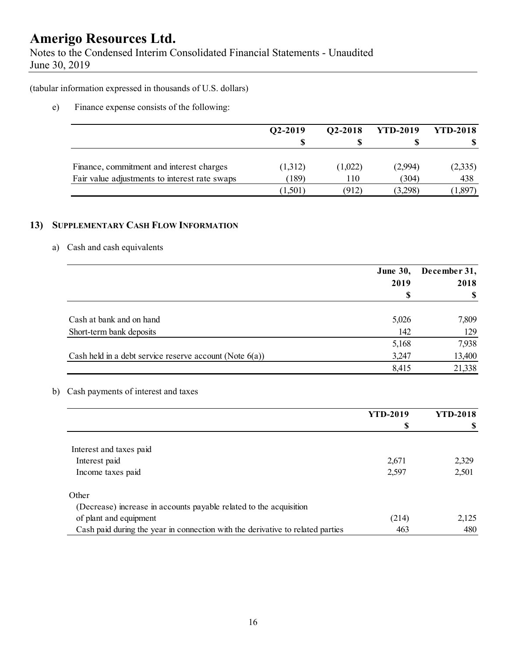Notes to the Condensed Interim Consolidated Financial Statements - Unaudited June 30, 2019

(tabular information expressed in thousands of U.S. dollars)

e) Finance expense consists of the following:

|                                               | Q2-2019 | Q2-2018 | <b>YTD-2019</b> | <b>YTD-2018</b> |
|-----------------------------------------------|---------|---------|-----------------|-----------------|
|                                               |         |         |                 |                 |
| Finance, commitment and interest charges      | (1,312) | (1,022) | (2.994)         | (2,335)         |
| Fair value adjustments to interest rate swaps | (189)   | 110     | (304)           | 438             |
|                                               | (1,501) | (912)   | (3,298)         | 1,897           |

#### **13) SUPPLEMENTARY CASH FLOW INFORMATION**

#### a) Cash and cash equivalents

|                                                            | <b>June 30,</b> | December 31, |
|------------------------------------------------------------|-----------------|--------------|
|                                                            | 2019            | 2018         |
|                                                            | \$              |              |
| Cash at bank and on hand                                   | 5,026           | 7,809        |
| Short-term bank deposits                                   | 142             | 129          |
|                                                            | 5,168           | 7,938        |
| Cash held in a debt service reserve account (Note $6(a)$ ) | 3,247           | 13,400       |
|                                                            | 8,415           | 21,338       |

#### b) Cash payments of interest and taxes

|                                                                                | <b>YTD-2019</b> | <b>YTD-2018</b> |
|--------------------------------------------------------------------------------|-----------------|-----------------|
|                                                                                | S               |                 |
|                                                                                |                 |                 |
| Interest and taxes paid                                                        |                 |                 |
| Interest paid                                                                  | 2,671           | 2,329           |
| Income taxes paid                                                              | 2,597           | 2,501           |
| Other                                                                          |                 |                 |
| (Decrease) increase in accounts payable related to the acquisition             |                 |                 |
| of plant and equipment                                                         | (214)           | 2,125           |
| Cash paid during the year in connection with the derivative to related parties | 463             | 480             |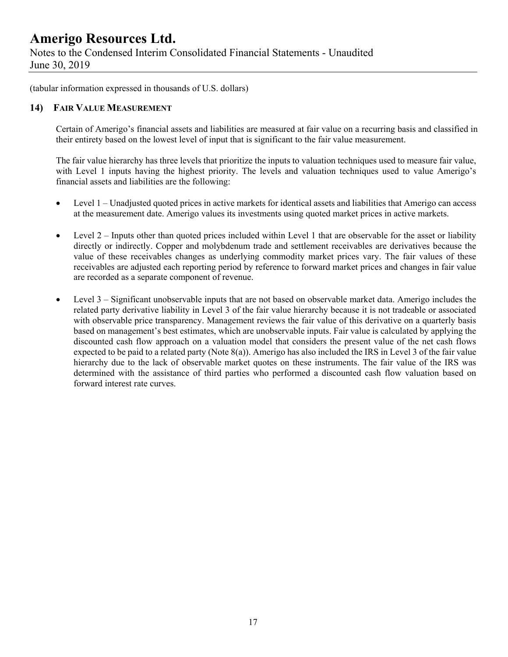Notes to the Condensed Interim Consolidated Financial Statements - Unaudited June 30, 2019

(tabular information expressed in thousands of U.S. dollars)

#### **14) FAIR VALUE MEASUREMENT**

Certain of Amerigo's financial assets and liabilities are measured at fair value on a recurring basis and classified in their entirety based on the lowest level of input that is significant to the fair value measurement.

The fair value hierarchy has three levels that prioritize the inputs to valuation techniques used to measure fair value, with Level 1 inputs having the highest priority. The levels and valuation techniques used to value Amerigo's financial assets and liabilities are the following:

- Level 1 Unadjusted quoted prices in active markets for identical assets and liabilities that Amerigo can access at the measurement date. Amerigo values its investments using quoted market prices in active markets.
- $\bullet$  Level 2 Inputs other than quoted prices included within Level 1 that are observable for the asset or liability directly or indirectly. Copper and molybdenum trade and settlement receivables are derivatives because the value of these receivables changes as underlying commodity market prices vary. The fair values of these receivables are adjusted each reporting period by reference to forward market prices and changes in fair value are recorded as a separate component of revenue.
- Level 3 Significant unobservable inputs that are not based on observable market data. Amerigo includes the related party derivative liability in Level 3 of the fair value hierarchy because it is not tradeable or associated with observable price transparency. Management reviews the fair value of this derivative on a quarterly basis based on management's best estimates, which are unobservable inputs. Fair value is calculated by applying the discounted cash flow approach on a valuation model that considers the present value of the net cash flows expected to be paid to a related party (Note 8(a)). Amerigo has also included the IRS in Level 3 of the fair value hierarchy due to the lack of observable market quotes on these instruments. The fair value of the IRS was determined with the assistance of third parties who performed a discounted cash flow valuation based on forward interest rate curves.